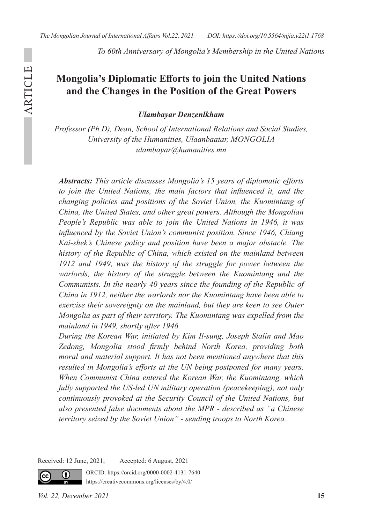*To 60th Anniversary of Mongolia's Membership in the United Nations*

# **Mongolia's Diplomatic Efforts to join the United Nations and the Changes in the Position of the Great Powers**

*Ulambayar Denzenlkham*

*Professor (Ph.D), Dean, School of International Relations and Social Studies, University of the Humanities, Ulaanbaatar, MONGOLIA ulambayar@humanities.mn* 

*Abstracts: This article discusses Mongolia's 15 years of diplomatic efforts to join the United Nations, the main factors that influenced it, and the changing policies and positions of the Soviet Union, the Kuomintang of China, the United States, and other great powers. Although the Mongolian People's Republic was able to join the United Nations in 1946, it was influenced by the Soviet Union's communist position. Since 1946, Chiang Kai-shek's Chinese policy and position have been a major obstacle. The history of the Republic of China, which existed on the mainland between 1912 and 1949, was the history of the struggle for power between the warlords, the history of the struggle between the Kuomintang and the Communists. In the nearly 40 years since the founding of the Republic of China in 1912, neither the warlords nor the Kuomintang have been able to exercise their sovereignty on the mainland, but they are keen to see Outer Mongolia as part of their territory. The Kuomintang was expelled from the mainland in 1949, shortly after 1946.*

*During the Korean War, initiated by Kim Il-sung, Joseph Stalin and Mao Zedong, Mongolia stood firmly behind North Korea, providing both moral and material support. It has not been mentioned anywhere that this resulted in Mongolia's efforts at the UN being postponed for many years. When Communist China entered the Korean War, the Kuomintang, which fully supported the US-led UN military operation (peacekeeping), not only continuously provoked at the Security Council of the United Nations, but also presented false documents about the MPR - described as "a Chinese territory seized by the Soviet Union" - sending troops to North Korea.* 

Received: 12 June, 2021; Accepted: 6 August, 2021

ORCID: https://orcid.org/0000-0002-4131-7640 https://creativecommons.org/licenses/by/4.0/

cc.

ARTICLE

**ARTICLE** 

Œ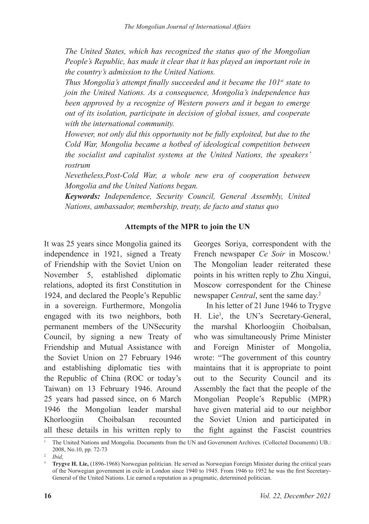*The United States, which has recognized the status quo of the Mongolian People's Republic, has made it clear that it has played an important role in the country's admission to the United Nations.*

*Thus Mongolia's attempt finally succeeded and it became the 101st state to join the United Nations. As a consequence, Mongolia's independence has been approved by a recognize of Western powers and it began to emerge out of its isolation, participate in decision of global issues, and cooperate with the international community.*

*However, not only did this opportunity not be fully exploited, but due to the Cold War, Mongolia became a hotbed of ideological competition between the socialist and capitalist systems at the United Nations, the speakers' rostrum*

*Nevetheless,Post-Cold War, a whole new era of cooperation between Mongolia and the United Nations began.*

*Keywords: Independence, Security Council, General Assembly, United Nations, ambassador, membership, treaty, de facto and status quo*

### **Attempts of the MPR to join the UN**

It was 25 years since Mongolia gained its independence in 1921, signed a Treaty of Friendship with the Soviet Union on November 5, established diplomatic relations, adopted its first Constitution in 1924, and declared the People's Republic in a sovereign. Furthermore, Mongolia engaged with its two neighbors, both permanent members of the UNSecurity Council, by signing a new Treaty of Friendship and Mutual Assistance with the Soviet Union on 27 February 1946 and establishing diplomatic ties with the Republic of China (ROC or today's Taiwan) on 13 February 1946. Around 25 years had passed since, on 6 March 1946 the Mongolian leader marshal Khorloogiin Choibalsan recounted all these details in his written reply to

Georges Soriya, correspondent with the French newspaper *Ce Soir* in Moscow.<sup>1</sup> The Mongolian leader reiterated these points in his written reply to Zhu Xingui, Moscow correspondent for the Chinese newspaper *Central*, sent the same day.2

In his letter of 21 June 1946 to Trygve H. Lie<sup>3</sup>, the UN's Secretary-General, the marshal Khorloogiin Choibalsan, who was simultaneously Prime Minister and Foreign Minister of Mongolia, wrote: "The government of this country maintains that it is appropriate to point out to the Security Council and its Assembly the fact that the people of the Mongolian People's Republic (MPR) have given material aid to our neighbor the Soviet Union and participated in the fight against the Fascist countries

<sup>&</sup>lt;sup>1</sup> The United Nations and Mongolia. Documents from the UN and Government Archives. (Collected Documents) UB.: 2008, No.10, pp. 72-73

<sup>2</sup> *Ibid,* 

<sup>&</sup>lt;sup>3</sup> Trygve H. Lie, (1896-1968) Norwegian politician. He served as Norwegian Foreign Minister during the critical years of the Norwegian government in exile in London since 1940 to 1945. From 1946 to 1952 he was the first Secretary-General of the United Nations. Lie earned a reputation as a pragmatic, determined politician.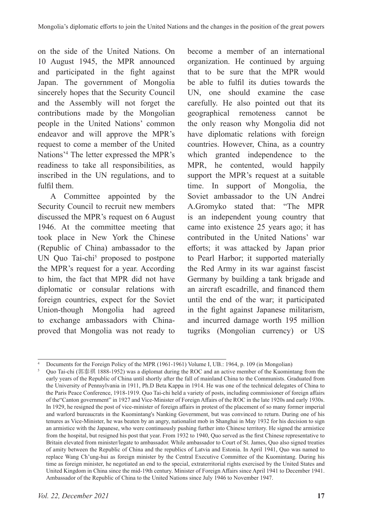on the side of the United Nations. On 10 August 1945, the MPR announced and participated in the fight against Japan. The government of Mongolia sincerely hopes that the Security Council and the Assembly will not forget the contributions made by the Mongolian people in the United Nations' common endeavor and will approve the MPR's request to come a member of the United Nations'4 The letter expressed the MPR's readiness to take all responsibilities, as inscribed in the UN regulations, and to fulfil them.

A Committee appointed by the Security Council to recruit new members discussed the MPR's request on 6 August 1946. At the committee meeting that took place in New York the Chinese (Republic of China) ambassador to the UN Quo Tai-chi<sup>5</sup> proposed to postpone the MPR's request for a year. According to him, the fact that MPR did not have diplomatic or consular relations with foreign countries, expect for the Soviet Union-though Mongolia had agreed to exchange ambassadors with Chinaproved that Mongolia was not ready to

become a member of an international organization. He continued by arguing that to be sure that the MPR would be able to fulfil its duties towards the UN, one should examine the case carefully. He also pointed out that its geographical remoteness cannot be the only reason why Mongolia did not have diplomatic relations with foreign countries. However, China, as a country which granted independence to the MPR, he contented, would happily support the MPR's request at a suitable time. In support of Mongolia, the Soviet ambassador to the UN Andrei A.Gromyko stated that: "The MPR is an independent young country that came into existence 25 years ago; it has contributed in the United Nations' war efforts; it was attacked by Japan prior to Pearl Harbor; it supported materially the Red Army in its war against fascist Germany by building a tank brigade and an aircraft escadrille, and financed them until the end of the war; it participated in the fight against Japanese militarism, and incurred damage worth 195 million tugriks (Mongolian currency) or US

<sup>4</sup> Documents for the Foreign Policy of the MPR (1961-1961) Volume I, UB.: 1964, p. 109 (in Mongolian)

<sup>5</sup> Quo Tai-chi (郭泰祺 1888-1952) was a diplomat during the ROC and an active member of the Kuomintang from the early years of the Republic of China until shortly after the fall of mainland China to the Communists. Graduated from the University of Pennsylvania in 1911, Ph.D Beta Kappa in 1914. He was one of the technical delegates of China to the Paris Peace Conference, 1918-1919. Quo Tai-chi held a variety of posts, including commissioner of foreign affairs of the"Canton government" in 1927 and Vice-Minister of Foreign Affairs of the ROC in the late 1920s and early 1930s. In 1929, he resigned the post of vice-minister of foreign affairs in protest of the placement of so many former imperial and warlord bureaucrats in the Kuomintang's Nanking Government, but was convinced to return. During one of his tenures as Vice-Minister, he was beaten by an angry, nationalist mob in Shanghai in May 1932 for his decision to sign an armistice with the Japanese, who were continuously pushing further into Chinese territory. He signed the armistice from the hospital, but resigned his post that year. From 1932 to 1940, Quo served as the first Chinese representative to Britain elevated from minister/legate to ambassador. While ambassador to Court of St. James, Quo also signed treaties of amity between the Republic of China and the republics of Latvia and Estonia. In April 1941, Quo was named to replace Wang Ch'ung-hui as foreign minister by the Central Executive Committee of the Kuomintang. During his time as foreign minister, he negotiated an end to the special, extraterritorial rights exercised by the United States and United Kingdom in China since the mid-19th century. Minister of Foreign Affairs since April 1941 to December 1941. Ambassador of the Republic of China to the United Nations since July 1946 to November 1947.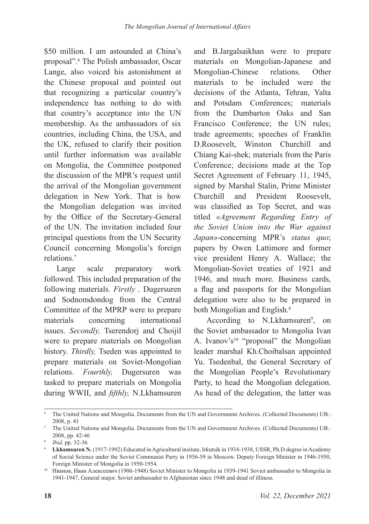\$50 million. I am astounded at China's proposal".6 The Polish ambassador, Oscar Lange, also voiced his astonishment at the Chinese proposal and pointed out that recognizing a particular country's independence has nothing to do with that country's acceptance into the UN membership. As the ambassadors of six countries, including China, the USA, and the UK, refused to clarify their position until further information was available on Mongolia, the Committee postponed the discussion of the MPR's request until the arrival of the Mongolian government delegation in New York. That is how the Mongolian delegation was invited by the Office of the Secretary-General of the UN. The invitation included four principal questions from the UN Security Council concerning Mongolia's foreign relations.7

Large scale preparatory work followed. This included preparation of the following materials. *Firstly ,* Dugersuren and Sodnomdondog from the Central Committee of the MPRP were to prepare materials concerning international issues. *Secondly,* Tserendorj and Choijil were to prepare materials on Mongolian history. *Thirdly,* Tseden was appointed to prepare materials on Soviet-Mongolian relations. *Fourthly,* Dugersuren was tasked to prepare materials on Mongolia during WWII, and *fifthly,* N.Lkhamsuren

and B.Jargalsaikhan were to prepare materials on Mongolian-Japanese and Mongolian-Chinese relations. Other materials to be included were the decisions of the Atlanta, Tehran, Yalta and Potsdam Conferences; materials from the Dumbarton Oaks and San Francisco Conference; the UN rules; trade agreements; speeches of Franklin D.Roosevelt, Winston Churchill and Chiang Kai-shek; materials from the Paris Conference; decisions made at the Top Secret Agreement of February 11, 1945, signed by Marshal Stalin, Prime Minister Churchill and President Roosevelt, was classified as Top Secret, and was titled *«Agreement Regarding Entry of the Soviet Union into the War against Japan»*-concerning MPR's *status quo*; papers by Owen Lattimore and former vice president Henry A. Wallace; the Mongolian-Soviet treaties of 1921 and 1946, and much more. Business cards, a flag and passports for the Mongolian delegation were also to be prepared in both Mongolian and English.<sup>8</sup>

According to N.Lkhamsuren<sup>9</sup>, on the Soviet ambassador to Mongolia Ivan A. Ivanov's<sup>10</sup> "proposal" the Mongolian leader marshal Kh.Choibalsan appointed Yu. Tsedenbal, the General Secretary of the Mongolian People's Revolutionary Party, to head the Mongolian delegation. As head of the delegation, the latter was

<sup>6</sup> The United Nations and Mongolia. Documents from the UN and Government Archives. (Collected Documents) UB.: 2008, p. 41

<sup>7</sup> The United Nations and Mongolia. Documents from the UN and Government Archives. (Collected Documents) UB.: 2008, pp. 42-46

<sup>8</sup> *Ibid,* pp. 32-36

<sup>9</sup> **Lkhamsuren N.** (1917-1992) Educated in Agricultural insitute, Irkutsik in 1934-1938, USSR, Ph.D degree in Academy of Social Science under the Soviet Communist Party in 1956-59 in Moscow. Deputy Foreign Minister in 1946-1950, Foreign Minister of Mongolia in 1950-1954.

<sup>&</sup>lt;sup>10</sup> Иванов, Иван Алексеевич (1906-1948) Soviet Minister to Mongolia in 1939-1941 Soviet ambassador to Mongolia in 1941-1947, General major. Soviet ambassador to Afghanistan since 1948 and dead of illiness.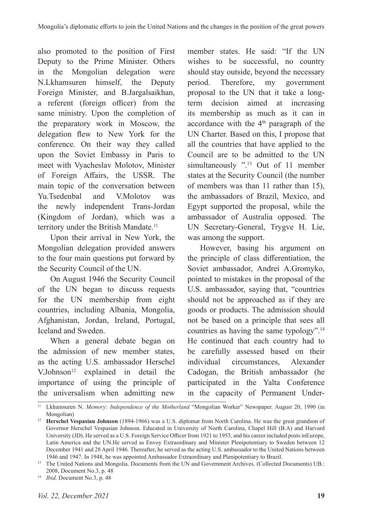also promoted to the position of First Deputy to the Prime Minister. Others in the Mongolian delegation were N.Lkhamsuren himself, the Deputy Foreign Minister, and B.Jargalsaikhan, a referent (foreign officer) from the same ministry. Upon the completion of the preparatory work in Moscow, the delegation flew to New York for the conference. On their way they called upon the Soviet Embassy in Paris to meet with Vyacheslav Molotov, Minister of Foreign Affairs, the USSR. The main topic of the conversation between Yu.Tsedenbal and V.Molotov was the newly independent Trans-Jordan (Kingdom of Jordan), which was a territory under the British Mandate.<sup>11</sup>

Upon their arrival in New York, the Mongolian delegation provided answers to the four main questions put forward by the Security Council of the UN.

On August 1946 the Security Council of the UN began to discuss requests for the UN membership from eight countries, including Albania, Mongolia, Afghanistan, Jordan, Ireland, Portugal, Iceland and Sweden.

When a general debate began on the admission of new member states, as the acting U.S. ambassador Herschel V.Johnson<sup>12</sup> explained in detail the importance of using the principle of the universalism when admitting new

member states. He said: "If the UN wishes to be successful, no country should stay outside, beyond the necessary period. Therefore, my government proposal to the UN that it take a longterm decision aimed at increasing its membership as much as it can in accordance with the  $4<sup>th</sup>$  paragraph of the UN Charter. Based on this, I propose that all the countries that have applied to the Council are to be admitted to the UN simultaneously ".<sup>13</sup> Out of 11 member states at the Security Council (the number of members was than 11 rather than 15), the ambassadors of Brazil, Mexico, and Egypt supported the proposal, while the ambassador of Australia opposed. The UN Secretary-General, Trygve H. Lie, was among the support.

However, basing his argument on the principle of class differentiation, the Soviet ambassador, Andrei A.Gromyko, pointed to mistakes in the proposal of the U.S. ambassador, saying that, "countries should not be approached as if they are goods or products. The admission should not be based on a principle that sees all countries as having the same typology".14 He continued that each country had to be carefully assessed based on their individual circumstances, Alexander Cadogan, the British ambassador (he participated in the Yalta Conference in the capacity of Permanent Under-

<sup>14</sup> *Ibid,* Document No.3, p. 48

<sup>11</sup> Lkhamsuren N. *Memory: Independence of the Motherland* "Mongolian Worker" Newspaper. August 20, 1990 (in Mongolian)

<sup>12</sup> **Herschel Vespasian Johnson** (1894-1966) was a U.S. diplomat from North Carolina. He was the great grandson of Governor Herschel Vespasian Johnson. Educated in University of North Carolina, Chapel Hill (B.A) and Harvard University (JD). He served as a U.S. Foreign Service Officer from 1921 to 1953, and his career included posts inEurope, Latin America and the UN.He served as Envoy Extraordinary and Minister Plenipotentiary to Sweden between 12 December 1941 and 28 April 1946. Thereafter, he served as the acting U.S. ambassador to the United Nations between

<sup>1946</sup> and 1947. In 1948, he was appointed Ambassador Extraordinary and Plenipotentiary to Brazil. 13 The United Nations and Mongolia. Documents from the UN and Government Archives. (Collected Documents) UB.: 2008, Document No.3, p. 48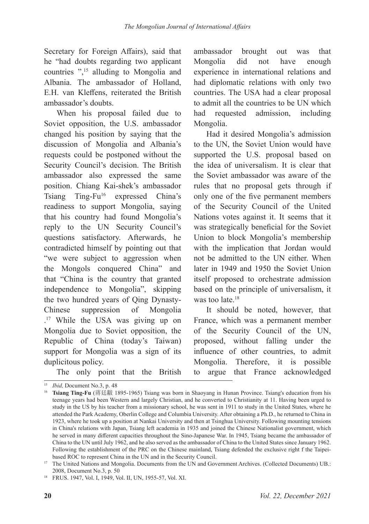Secretary for Foreign Affairs), said that he "had doubts regarding two applicant countries ",15 alluding to Mongolia and Albania. The ambassador of Holland, E.H. van Kleffens, reiterated the British ambassador's doubts.

When his proposal failed due to Soviet opposition, the U.S. ambassador changed his position by saying that the discussion of Mongolia and Albania's requests could be postponed without the Security Council's decision. The British ambassador also expressed the same position. Chiang Kai-shek's ambassador Tsiang  $Ting-Fu^{16}$  expressed China's readiness to support Mongolia, saying that his country had found Mongolia's reply to the UN Security Council's questions satisfactory. Afterwards, he contradicted himself by pointing out that "we were subject to aggression when the Mongols conquered China" and that "China is the country that granted independence to Mongolia", skipping the two hundred years of Qing Dynasty-Chinese suppression of Mongolia . 17 While the USA was giving up on Mongolia due to Soviet opposition, the Republic of China (today's Taiwan) support for Mongolia was a sign of its duplicitous policy.

The only point that the British

ambassador brought out was that Mongolia did not have enough experience in international relations and had diplomatic relations with only two countries. The USA had a clear proposal to admit all the countries to be UN which had requested admission, including Mongolia.

Had it desired Mongolia's admission to the UN, the Soviet Union would have supported the U.S. proposal based on the idea of universalism. It is clear that the Soviet ambassador was aware of the rules that no proposal gets through if only one of the five permanent members of the Security Council of the United Nations votes against it. It seems that it was strategically beneficial for the Soviet Union to block Mongolia's membership with the implication that Jordan would not be admitted to the UN either. When later in 1949 and 1950 the Soviet Union itself proposed to orchestrate admission based on the principle of universalism, it was too late.<sup>18</sup>

It should be noted, however, that France, which was a permanent member of the Security Council of the UN, proposed, without falling under the influence of other countries, to admit Mongolia. Therefore, it is possible to argue that France acknowledged

<sup>15</sup> *Ibid,* Document No.3, p. 48

<sup>16</sup> **Tsiang Ting-Fu** (蔣廷黻 1895-1965) Tsiang was born in Shaoyang in Hunan Province. Tsiang's education from his teenage years had been Western and largely Christian, and he converted to Christianity at 11. Having been urged to study in the US by his teacher from a missionary school, he was sent in 1911 to study in the United States, where he attended the Park Academy, Oberlin College and Columbia University. After obtaining a Ph.D., he returned to China in 1923, where he took up a position at Nankai University and then at Tsinghua University. Following mounting tensions in China's relations with Japan, Tsiang left academia in 1935 and joined the Chinese Nationalist government, which he served in many different capacities throughout the Sino-Japanese War. In 1945, Tsiang became the ambassador of China to the UN until July 1962, and he also served as the ambassador of China to the United States since January 1962. Following the establishment of the PRC on the Chinese mainland, Tsiang defended the exclusive right f the Taipeibased ROC to represent China in the UN and in the Security Council.

<sup>&</sup>lt;sup>17</sup> The United Nations and Mongolia. Documents from the UN and Government Archives. (Collected Documents) UB.: 2008, Document No.3, p. 50

<sup>18</sup> FRUS. 1947, Vol. I, 1949, Vol. II, UN, 1955-57, Vol. XI.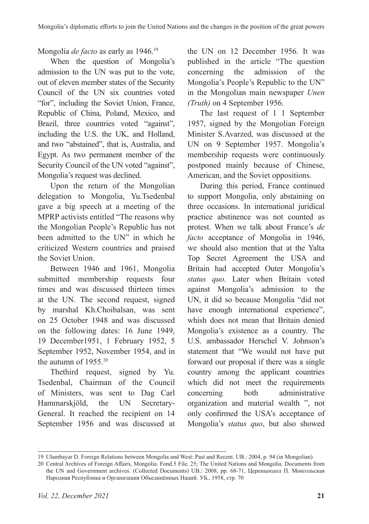Mongolia *de facto* as early as 1946.19

When the question of Mongolia's admission to the UN was put to the vote, out of eleven member states of the Security Council of the UN six countries voted "for", including the Soviet Union, France, Republic of China, Poland, Mexico, and Brazil, three countries voted "against", including the U.S. the UK, and Holland, and two "abstained", that is, Australia, and Egypt. As two permanent member of the Security Council of the UN voted "against", Mongolia's request was declined.

Upon the return of the Mongolian delegation to Mongolia, Yu.Tsedenbal gave a big speech at a meeting of the MPRP activists entitled "The reasons why the Mongolian People's Republic has not been admitted to the UN" in which he criticized Western countries and praised the Soviet Union.

Between 1946 and 1961, Mongolia submitted membership requests four times and was discussed thirteen times at the UN. The second request, signed by marshal Kh.Choibalsan, was sent on 25 October 1948 and was discussed on the following dates: 16 June 1949, 19 December1951, 1 February 1952, 5 September 1952, November 1954, and in the autumn of 1955.20

Thethird request, signed by Yu. Tsedenbal, Chairman of the Council of Ministers, was sent to Dag Carl Hammarskjöld, the UN Secretary-General. It reached the recipient on 14 September 1956 and was discussed at the UN on 12 December 1956. It was published in the article "The question concerning the admission of the Mongolia's People's Republic to the UN" in the Mongolian main newspaper *Unen (Truth)* on 4 September 1956.

The last request of 1 1 September 1957, signed by the Mongolian Foreign Minister S.Avarzed, was discussed at the UN on 9 September 1957. Mongolia's membership requests were continuously postponed mainly because of Chinese, American, and the Soviet oppositions.

During this period, France continued to support Mongolia, only abstaining on three occasions. In international juridical practice abstinence was not counted as protest. When we talk about France's *de facto* acceptance of Mongolia in 1946, we should also mention that at the Yalta Top Secret Agreement the USA and Britain had accepted Outer Mongolia's *status quo*. Later when Britain voted against Mongolia's admission to the UN, it did so because Mongolia "did not have enough international experience", whish does not mean that Britain denied Mongolia's existence as a country. The U.S. ambassador Herschel V. Johnson's statement that "We would not have put forward our proposal if there was a single country among the applicant countries which did not meet the requirements concerning both administrative organization and material wealth ", not only confirmed the USA's acceptance of Mongolia's *status quo*, but also showed

<sup>19</sup> Ulambayar D. Foreign Relations between Mongolia and West: Past and Recent. UB.: 2004, p. 94 (in Mongolian)

<sup>20</sup> Central Archives of Foreign Affairs, Mongolia. Fond.5 File. 25; The United Nations and Mongolia. Documents from the UN and Government archives. (Collected Documents) UB.: 2008, pp. 68-71, Церенцоодол П. Монгольская Народная Республика и Организация Объединённых Наций. УБ., 1958, стр. 70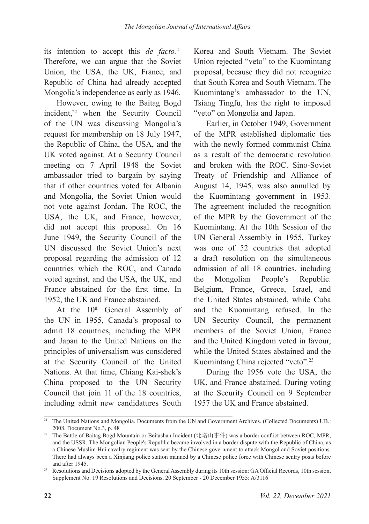its intention to accept this *de facto.*<sup>21</sup> Therefore, we can argue that the Soviet Union, the USA, the UK, France, and Republic of China had already accepted Mongolia's independence as early as 1946.

However, owing to the Baitag Bogd incident,<sup>22</sup> when the Security Council of the UN was discussing Mongolia's request for membership on 18 July 1947, the Republic of China, the USA, and the UK voted against. At a Security Council meeting on 7 April 1948 the Soviet ambassador tried to bargain by saying that if other countries voted for Albania and Mongolia, the Soviet Union would not vote against Jordan. The ROC, the USA, the UK, and France, however, did not accept this proposal. On 16 June 1949, the Security Council of the UN discussed the Soviet Union's next proposal regarding the admission of 12 countries which the ROC, and Canada voted against, and the USA, the UK, and France abstained for the first time. In 1952, the UK and France abstained.

At the 10<sup>th</sup> General Assembly of the UN in 1955, Canada's proposal to admit 18 countries, including the MPR and Japan to the United Nations on the principles of universalism was considered at the Security Council of the United Nations. At that time, Chiang Kai-shek's China proposed to the UN Security Council that join 11 of the 18 countries, including admit new candidatures South

Korea and South Vietnam. The Soviet Union rejected "veto" to the Kuomintang proposal, because they did not recognize that South Korea and South Vietnam. The Kuomintang's ambassador to the UN, Tsiang Tingfu, has the right to imposed "veto" on Mongolia and Japan.

Earlier, in October 1949, Government of the MPR established diplomatic ties with the newly formed communist China as a result of the democratic revolution and broken with the ROC. Sino-Soviet Treaty of Friendship and Alliance of August 14, 1945, was also annulled by the Kuomintang government in 1953. The agreement included the recognition of the MPR by the Government of the Kuomintang. At the 10th Session of the UN General Assembly in 1955, Turkey was one of 52 countries that adopted a draft resolution on the simultaneous admission of all 18 countries, including the Mongolian People's Republic. Belgium, France, Greece, Israel, and the United States abstained, while Cuba and the Kuomintang refused. In the UN Security Council, the permanent members of the Soviet Union, France and the United Kingdom voted in favour, while the United States abstained and the Kuomintang China rejected "veto".<sup>23</sup>

During the 1956 vote the USA, the UK, and France abstained. During voting at the Security Council on 9 September 1957 the UK and France abstained.

<sup>&</sup>lt;sup>21</sup> The United Nations and Mongolia. Documents from the UN and Government Archives. (Collected Documents) UB.: 2008, Document No.3, p. 48

<sup>22</sup> The Battle of Baitag Bogd Mountain or Beitashan Incident (北塔山事件) was a border conflict between ROC, MPR, and the USSR. The Mongolian People's Republic became involved in a border dispute with the Republic of China, as a Chinese Muslim Hui cavalry regiment was sent by the Chinese government to attack Mongol and Soviet positions. There had always been a Xinjiang police station manned by a Chinese police force with Chinese sentry posts before and after 1945.

<sup>23</sup> Resolutions and Decisions adopted by the General Assembly during its 10th session: GA Official Records, 10th session, Supplement No. 19 Resolutions and Decisions, 20 September - 20 December 1955: A/3116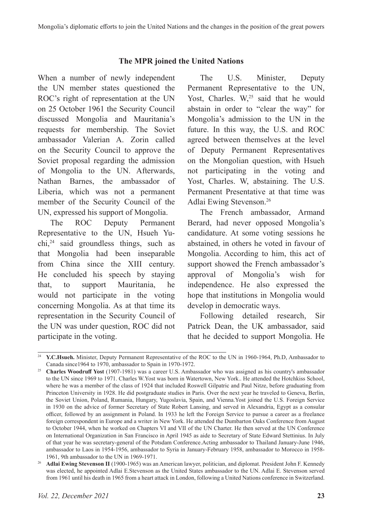## **The MPR joined the United Nations**

When a number of newly independent the UN member states questioned the ROC's right of representation at the UN on 25 October 1961 the Security Council discussed Mongolia and Mauritania's requests for membership. The Soviet ambassador Valerian A. Zorin called on the Security Council to approve the Soviet proposal regarding the admission of Mongolia to the UN. Afterwards, Nathan Barnes, the ambassador of Liberia, which was not a permanent member of the Security Council of the UN, expressed his support of Mongolia.

The ROC Deputy Permanent Representative to the UN, Hsueh Yuchi,24 said groundless things, such as that Mongolia had been inseparable from China since the XIII century. He concluded his speech by staying that, to support Mauritania, he would not participate in the voting concerning Mongolia. As at that time its representation in the Security Council of the UN was under question, ROC did not participate in the voting.

The U.S. Minister, Deputy Permanent Representative to the UN, Yost, Charles. W,<sup>25</sup> said that he would abstain in order to "clear the way" for Mongolia's admission to the UN in the future. In this way, the U.S. and ROC agreed between themselves at the level of Deputy Permanent Representatives on the Mongolian question, with Hsueh not participating in the voting and Yost, Charles. W, abstaining. The U.S. Permanent Presentative at that time was Adlai Ewing Stevenson.26

The French ambassador, Armand Berard, had never opposed Mongolia's candidature. At some voting sessions he abstained, in others he voted in favour of Mongolia. According to him, this act of support showed the French ambassador's approval of Mongolia's wish for independence. He also expressed the hope that institutions in Mongolia would develop in democratic ways.

Following detailed research, Sir Patrick Dean, the UK ambassador, said that he decided to support Mongolia. He

<sup>&</sup>lt;sup>24</sup> **Y.C.Hsueh.** Minister, Deputy Permanent Representative of the ROC to the UN in 1960-1964, Ph.D, Ambassador to Canada since1964 to 1970, ambassador to Spain in 1970-1972.

<sup>25</sup> **Charles Woodruff Yost** (1907-1981) was a career U.S. Ambassador who was assigned as his country's ambassador to the UN since 1969 to 1971. Charles W.Yost was born in Watertown, New York.. He attended the Hotchkiss School, where he was a member of the class of 1924 that included Roswell Gilpatric and Paul Nitze, before graduating from Princeton University in 1928. He did postgraduate studies in Paris. Over the next year he traveled to Geneva, Berlin, the Soviet Union, Poland, Rumania, Hungary, Yugoslavia, Spain, and Vienna.Yost joined the U.S. Foreign Service in 1930 on the advice of former Secretary of State Robert Lansing, and served in Alexandria, Egypt as a consular officer, followed by an assignment in Poland. In 1933 he left the Foreign Service to pursue a career as a freelance foreign correspondent in Europe and a writer in New York. He attended the Dumbarton Oaks Conference from August to October 1944, when he worked on Chapters VI and VII of the UN Charter. He then served at the UN Conference on International Organization in San Francisco in April 1945 as aide to Secretary of State Edward Stettinius. In July of that year he was secretary-general of the Potsdam Conference.Acting ambassador to Thailand January-June 1946, ambassador to Laos in 1954-1956, ambassador to Syria in January-February 1958, ambassador to Morocco in 1958- 1961, 9th ambassador to the UN in 1969-1971.

<sup>&</sup>lt;sup>26</sup> Adlai Ewing Stevenson II (1900-1965) was an American lawyer, politician, and diplomat. President John F. Kennedy was elected, he appointed Adlai E.Stevenson as the United States ambassador to the UN. Adlai E. Stevenson served from 1961 until his death in 1965 from a heart attack in London, following a United Nations conference in Switzerland.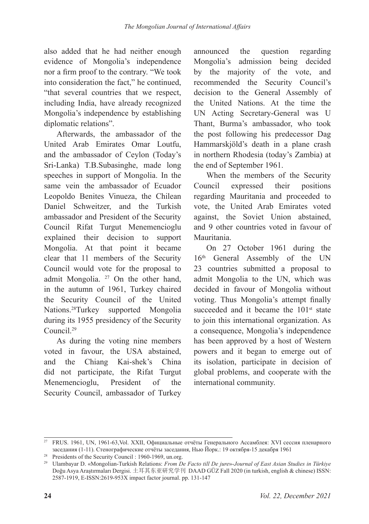also added that he had neither enough evidence of Mongolia's independence nor a firm proof to the contrary. "We took into consideration the fact," he continued, "that several countries that we respect, including India, have already recognized Mongolia's independence by establishing diplomatic relations".

Afterwards, the ambassador of the United Arab Emirates Omar Loutfu, and the ambassador of Ceylon (Today's Sri-Lanka) T.B.Subasinghe, made long speeches in support of Mongolia. In the same vein the ambassador of Ecuador Leopoldo Benites Vinueza, the Chilean Daniel Schweitzer, and the Turkish ambassador and President of the Security Council Rifat Turgut Menemencioglu explained their decision to support Mongolia. At that point it became clear that 11 members of the Security Council would vote for the proposal to admit Mongolia. <sup>27</sup> On the other hand, in the autumn of 1961, Turkey chaired the Security Council of the United Nations.28Turkey supported Mongolia during its 1955 presidency of the Security Council.29

As during the voting nine members voted in favour, the USA abstained, and the Chiang Kai-shek's China did not participate, the Rifat Turgut Menemencioglu, President of the Security Council, ambassador of Turkey announced the question regarding Mongolia's admission being decided by the majority of the vote, and recommended the Security Council's decision to the General Assembly of the United Nations. At the time the UN Acting Secretary-General was U Thant, Burma's ambassador, who took the post following his predecessor Dag Hammarskjöld's death in a plane crash in northern Rhodesia (today's Zambia) at the end of September 1961.

When the members of the Security Council expressed their positions regarding Mauritania and proceeded to vote, the United Arab Emirates voted against, the Soviet Union abstained, and 9 other countries voted in favour of Mauritania.

On 27 October 1961 during the 16<sup>th</sup> General Assembly of the UN 23 countries submitted a proposal to admit Mongolia to the UN, which was decided in favour of Mongolia without voting. Thus Mongolia's attempt finally succeeded and it became the  $101<sup>st</sup>$  state to join this international organization. As a consequence, Mongolia's independence has been approved by a host of Western powers and it began to emerge out of its isolation, participate in decision of global problems, and cooperate with the international community.

<sup>27</sup> FRUS. 1961, UN, 1961-63,Vol. XXII, Официальные отчёты Генерального Ассамблея: ХVI сессия пленарного заседания (1-11). Стенографические отчёты заседания, Нью Йорк.: 19 октября-15 декабря 1961

<sup>28</sup> Presidents of the Security Council : 1960-1969, un.org.

<sup>29</sup> Ulambayar D. «Mongolian-Turkish Relations: *From De Facto till De jure*»-*Journal of East Asian Studies in Türkiye*  Doğu Asya Araştırmaları Dergisi. 土耳其东亚研究学刊 DAAD GÜZ Fall 2020 (in turkish, english & chinese) ISSN: 2587-1919, E-ISSN:2619-953X impact factor journal. рр. 131-147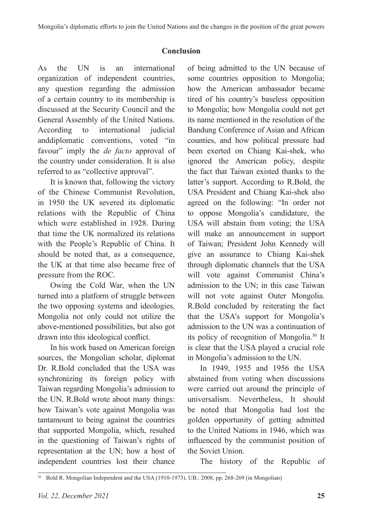## **Conclusion**

As the UN is an international organization of independent countries, any question regarding the admission of a certain country to its membership is discussed at the Security Council and the General Assembly of the United Nations. According to international judicial anddiplomatic conventions, voted "in favour" imply the *de facto* approval of the country under consideration. It is also referred to as "collective approval".

It is known that, following the victory of the Chinese Communist Revolution, in 1950 the UK severed its diplomatic relations with the Republic of China which were established in 1928. During that time the UK normalized its relations with the People's Republic of China. It should be noted that, as a consequence, the UK at that time also became free of pressure from the ROC.

Owing the Cold War, when the UN turned into a platform of struggle between the two opposing systems and ideologies, Mongolia not only could not utilize the above-mentioned possibilities, but also got drawn into this ideological conflict.

In his work based on American foreign sources, the Mongolian scholar, diplomat Dr. R.Bold concluded that the USA was synchronizing its foreign policy with Taiwan regarding Mongolia's admission to the UN. R.Bold wrote about many things: how Taiwan's vote against Mongolia was tantamount to being against the countries that supported Mongolia, which, resulted in the questioning of Taiwan's rights of representation at the UN; how a host of independent countries lost their chance

of being admitted to the UN because of some countries opposition to Mongolia; how the American ambassador became tired of his country's baseless opposition to Mongolia; how Mongolia could not get its name mentioned in the resolution of the Bandung Conference of Asian and African counties, and how political pressure had been exerted on Chiang Kai-shek, who ignored the American policy, despite the fact that Taiwan existed thanks to the latter's support. According to R.Bold, the USA President and Chiang Kai-shek also agreed on the following: "In order not to oppose Mongolia's candidature, the USA will abstain from voting; the USA will make an announcement in support of Taiwan; President John Kennedy will give an assurance to Chiang Kai-shek through diplomatic channels that the USA will vote against Communist China's admission to the UN; in this case Taiwan will not vote against Outer Mongolia. R.Bold concluded by reiterating the fact that the USA's support for Mongolia's admission to the UN was a continuation of its policy of recognition of Mongolia.30 It is clear that the USA played a crucial role in Mongolia's admission to the UN.

In 1949, 1955 and 1956 the USA abstained from voting when discussions were carried out around the principle of universalism. Nevertheless, It should be noted that Mongolia had lost the golden opportunity of getting admitted to the United Nations in 1946, which was influenced by the communist position of the Soviet Union.

The history of the Republic of

<sup>&</sup>lt;sup>30</sup> Bold R. Mongolian Independent and the USA (1910-1973). UB.: 2008, pp. 268-269 (in Mongolian)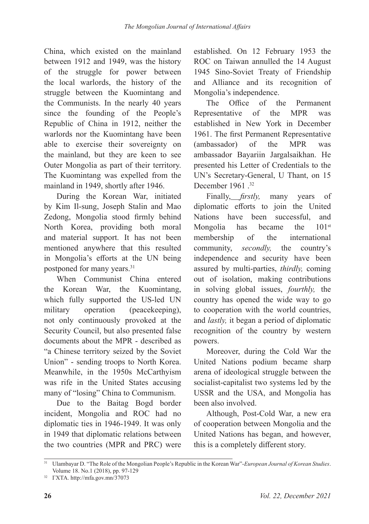China, which existed on the mainland between 1912 and 1949, was the history of the struggle for power between the local warlords, the history of the struggle between the Kuomintang and the Communists. In the nearly 40 years since the founding of the People's Republic of China in 1912, neither the warlords nor the Kuomintang have been able to exercise their sovereignty on the mainland, but they are keen to see Outer Mongolia as part of their territory. The Kuomintang was expelled from the mainland in 1949, shortly after 1946.

During the Korean War, initiated by Kim Il-sung, Joseph Stalin and Mao Zedong, Mongolia stood firmly behind North Korea, providing both moral and material support. It has not been mentioned anywhere that this resulted in Mongolia's efforts at the UN being postponed for many years.<sup>31</sup>

When Communist China entered the Korean War, the Kuomintang, which fully supported the US-led UN military operation (peacekeeping), not only continuously provoked at the Security Council, but also presented false documents about the MPR - described as "a Chinese territory seized by the Soviet Union" - sending troops to North Korea. Meanwhile, in the 1950s McCarthyism was rife in the United States accusing many of "losing" China to Communism.

Due to the Baitag Bogd border incident, Mongolia and ROC had no diplomatic ties in 1946-1949. It was only in 1949 that diplomatic relations between the two countries (MPR and PRC) were

established. On 12 February 1953 the ROC on Taiwan annulled the 14 August 1945 Sino-Soviet Treaty of Friendship and Alliance and its recognition of Mongolia's independence.

The Office of the Permanent Representative of the MPR was established in New York in December 1961. The first Permanent Representative (ambassador) of the MPR was ambassador Bayariin Jargalsaikhan. He presented his Letter of Credentials to the UN's Secretary-General, U Thant, on 15 December 1961.<sup>32</sup>

Finally, *firstly,* many years of diplomatic efforts to join the United Nations have been successful, and Mongolia has became the  $101<sup>st</sup>$ membership of the international community, *secondly,* the country's independence and security have been assured by multi-parties, *thirdly,* coming out of isolation, making contributions in solving global issues, *fourthly,* the country has opened the wide way to go to cooperation with the world countries, and *lastly,* it began a period of diplomatic recognition of the country by western powers.

Moreover, during the Cold War the United Nations podium became sharp arena of ideological struggle between the socialist-capitalist two systems led by the USSR and the USA, and Mongolia has been also involved.

Although, Post-Cold War, a new era of cooperation between Mongolia and the United Nations has began, and however, this is a completely different story.

<sup>31</sup> Ulambayar D. "The Role of the Mongolian People's Republic in the Korean War"-*European Journal of Korean Studies*. Volume 18. No.1 (2018), pp. 97-129

<sup>32</sup> ГХТА. http://mfa.gov.mn/37073